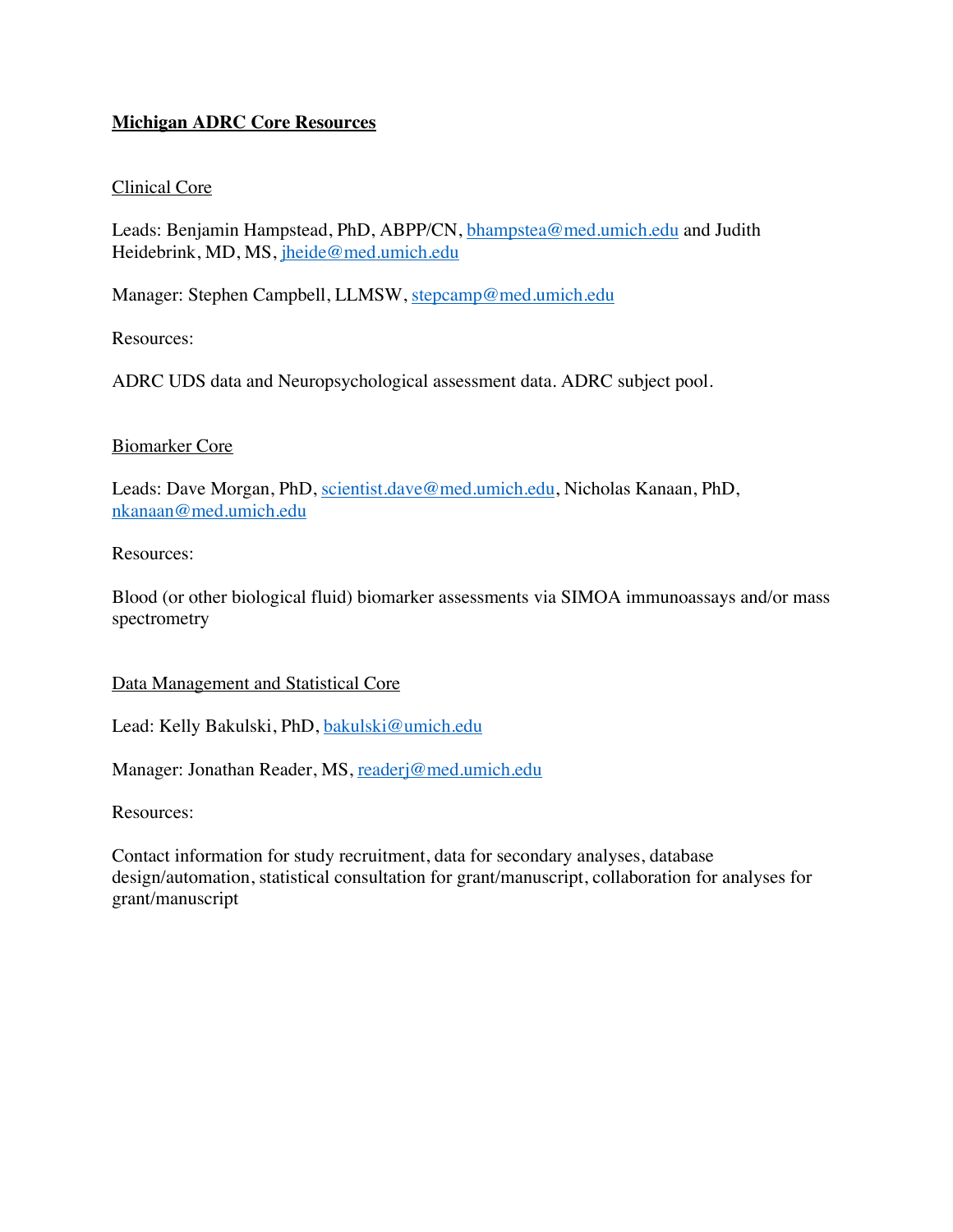# **Michigan ADRC Core Resources**

## Clinical Core

Leads: Benjamin Hampstead, PhD, ABPP/CN, bhampstea@med.umich.edu and Judith Heidebrink, MD, MS, jheide@med.umich.edu

Manager: Stephen Campbell, LLMSW, stepcamp@med.umich.edu

Resources:

ADRC UDS data and Neuropsychological assessment data. ADRC subject pool.

### Biomarker Core

Leads: Dave Morgan, PhD, scientist.dave@med.umich.edu, Nicholas Kanaan, PhD, nkanaan@med.umich.edu

### Resources:

Blood (or other biological fluid) biomarker assessments via SIMOA immunoassays and/or mass spectrometry

#### Data Management and Statistical Core

Lead: Kelly Bakulski, PhD, bakulski@umich.edu

Manager: Jonathan Reader, MS, readerj@med.umich.edu

Resources:

Contact information for study recruitment, data for secondary analyses, database design/automation, statistical consultation for grant/manuscript, collaboration for analyses for grant/manuscript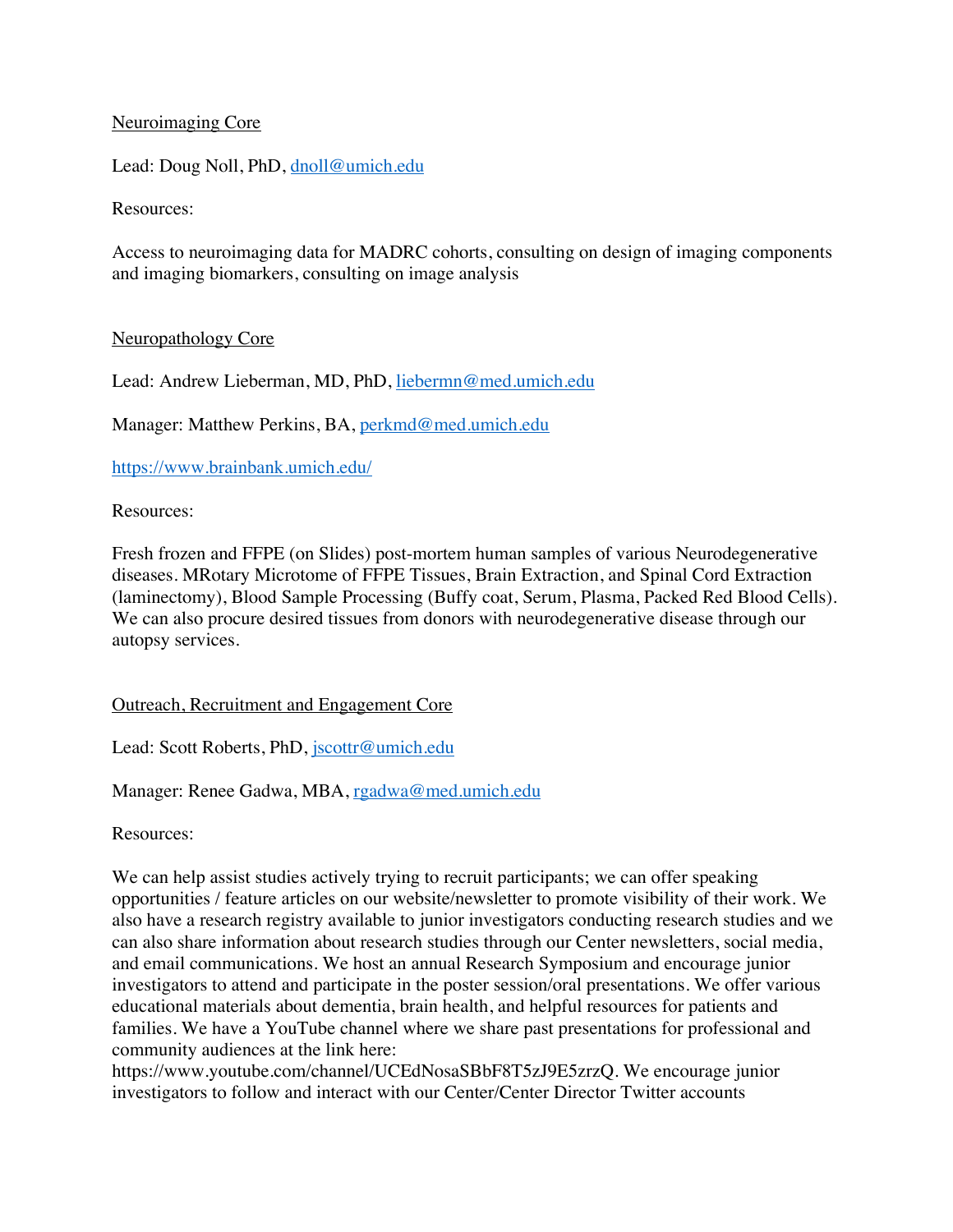## Neuroimaging Core

Lead: Doug Noll, PhD, dnoll@umich.edu

Resources:

Access to neuroimaging data for MADRC cohorts, consulting on design of imaging components and imaging biomarkers, consulting on image analysis

# Neuropathology Core

Lead: Andrew Lieberman, MD, PhD, liebermn@med.umich.edu

Manager: Matthew Perkins, BA, perkmd@med.umich.edu

https://www.brainbank.umich.edu/

Resources:

Fresh frozen and FFPE (on Slides) post-mortem human samples of various Neurodegenerative diseases. MRotary Microtome of FFPE Tissues, Brain Extraction, and Spinal Cord Extraction (laminectomy), Blood Sample Processing (Buffy coat, Serum, Plasma, Packed Red Blood Cells). We can also procure desired tissues from donors with neurodegenerative disease through our autopsy services.

## Outreach, Recruitment and Engagement Core

Lead: Scott Roberts, PhD, jscottr@umich.edu

Manager: Renee Gadwa, MBA, rgadwa@med.umich.edu

Resources:

We can help assist studies actively trying to recruit participants; we can offer speaking opportunities / feature articles on our website/newsletter to promote visibility of their work. We also have a research registry available to junior investigators conducting research studies and we can also share information about research studies through our Center newsletters, social media, and email communications. We host an annual Research Symposium and encourage junior investigators to attend and participate in the poster session/oral presentations. We offer various educational materials about dementia, brain health, and helpful resources for patients and families. We have a YouTube channel where we share past presentations for professional and community audiences at the link here:

https://www.youtube.com/channel/UCEdNosaSBbF8T5zJ9E5zrzQ. We encourage junior investigators to follow and interact with our Center/Center Director Twitter accounts